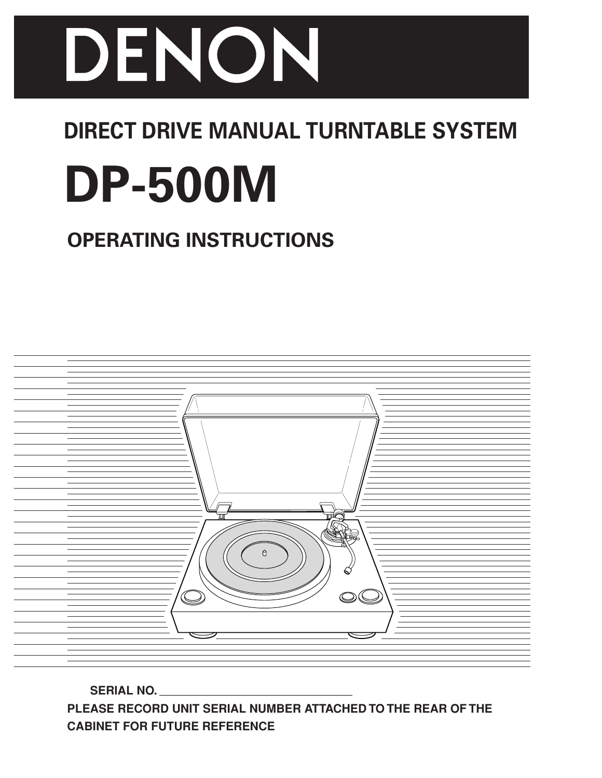

# **DIRECT DRIVE MANUAL TURNTABLE SYSTEM**

# **DP-500M**

# **OPERATING INSTRUCTIONS**



 **SERIAL NO. PLEASE RECORD UNIT SERIAL NUMBER ATTACHED TO THE REAR OF THE CABINET FOR FUTURE REFERENCE**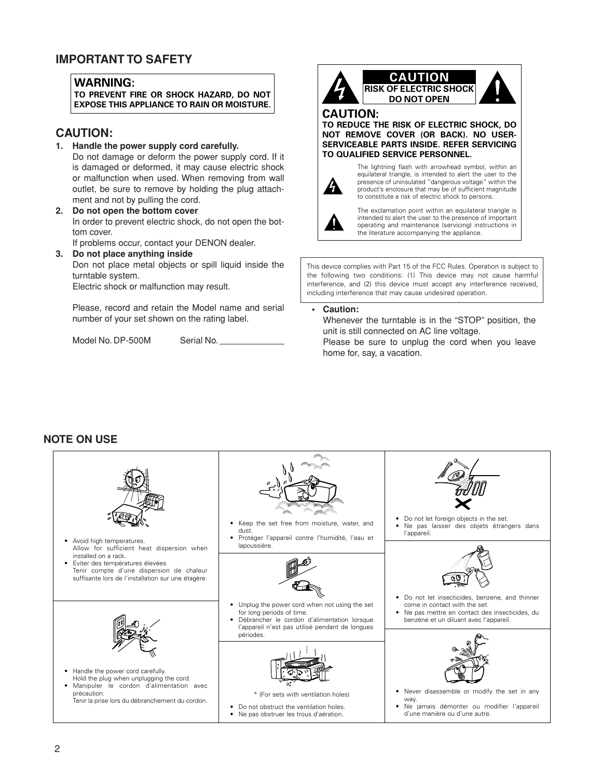### **IMPORTANT TO SAFETY**

#### **WARNING:**

**TO PREVENT FIRE OR SHOCK HAZARD, DO NOT EXPOSE THIS APPLIANCE TO RAIN OR MOISTURE.**

#### **CAUTION:**

**1. Handle the power supply cord carefully.**

Do not damage or deform the power supply cord. If it is damaged or deformed, it may cause electric shock or malfunction when used. When removing from wall outlet, be sure to remove by holding the plug attachment and not by pulling the cord.

**2. Do not open the bottom cover** In order to prevent electric shock, do not open the bottom cover.

If problems occur, contact your DENON dealer.

**3. Do not place anything inside**

Don not place metal objects or spill liquid inside the turntable system.

Electric shock or malfunction may result.

Please, record and retain the Model name and serial number of your set shown on the rating label.

Model No. DP-500M Serial No.



## **CAUTION RISK OF ELECTRIC SHOCK DO NOT OPEN**

#### **CAUTION:**

**TO REDUCE THE RISK OF ELECTRIC SHOCK, DO NOT REMOVE COVER (OR BACK). NO USER-SERVICEABLE PARTS INSIDE. REFER SERVICING TO QUALIFIED SERVICE PERSONNEL.**



The lightning flash with arrowhead symbol, within an equilateral triangle, is intended to alert the user to the presence of uninsulated "dangerous voltage" within the product's enclosure that may be of sufficient magnitude to constitute a risk of electric shock to persons.



The exclamation point within an equilateral triangle is intended to alert the user to the presence of important operating and maintenance (servicing) instructions in the literature accompanying the appliance.

This device complies with Part 15 of the FCC Rules. Operation is subject to the following two conditions: (1) This device may not cause harmful interference, and (2) this device must accept any interference received, including interference that may cause undesired operation.

**• Caution:**

Whenever the turntable is in the "STOP" position, the unit is still connected on AC line voltage. Please be sure to unplug the cord when you leave home for, say, a vacation.

#### **NOTE ON USE**

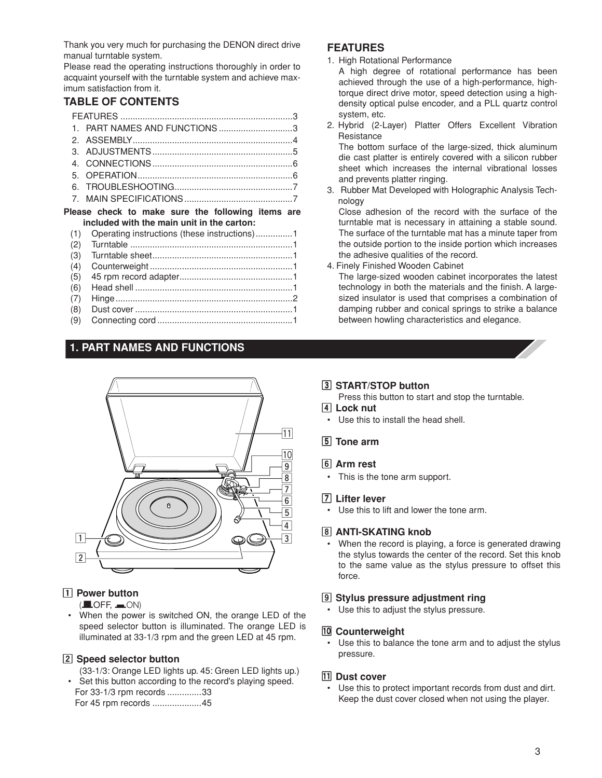Thank you very much for purchasing the DENON direct drive manual turntable system.

Please read the operating instructions thoroughly in order to acquaint yourself with the turntable system and achieve maximum satisfaction from it.

#### **TABLE OF CONTENTS**

| 1.                                                | PART NAMES AND FUNCTIONS3                    |  |  |  |
|---------------------------------------------------|----------------------------------------------|--|--|--|
| 2.                                                |                                              |  |  |  |
| З.                                                |                                              |  |  |  |
| 4.                                                |                                              |  |  |  |
| 5.                                                |                                              |  |  |  |
| 6.                                                |                                              |  |  |  |
| 7                                                 |                                              |  |  |  |
| Please check to make sure the following items are |                                              |  |  |  |
|                                                   |                                              |  |  |  |
|                                                   | included with the main unit in the carton:   |  |  |  |
| (1)                                               | Operating instructions (these instructions)1 |  |  |  |
| (2)                                               |                                              |  |  |  |
| (3)                                               |                                              |  |  |  |
| (4)                                               |                                              |  |  |  |
| (5)                                               |                                              |  |  |  |
| (6)                                               |                                              |  |  |  |
| (7)                                               |                                              |  |  |  |
| (8)                                               |                                              |  |  |  |

## **1. PART NAMES AND FUNCTIONS**



#### **1** Power button

 $($  $\blacksquare$ OFF,  $\blacksquare$ ON)

• When the power is switched ON, the orange LED of the speed selector button is illuminated. The orange LED is illuminated at 33-1/3 rpm and the green LED at 45 rpm.

#### **Z** Speed selector button

(33-1/3: Orange LED lights up. 45: Green LED lights up.)

• Set this button according to the record's playing speed. For 33-1/3 rpm records ..............33 For 45 rpm records ....................45

#### **FEATURES**

1. High Rotational Performance

A high degree of rotational performance has been achieved through the use of a high-performance, hightorque direct drive motor, speed detection using a highdensity optical pulse encoder, and a PLL quartz control system, etc.

2. Hybrid (2-Layer) Platter Offers Excellent Vibration Resistance

The bottom surface of the large-sized, thick aluminum die cast platter is entirely covered with a silicon rubber sheet which increases the internal vibrational losses and prevents platter ringing.

3. Rubber Mat Developed with Holographic Analysis Technology

Close adhesion of the record with the surface of the turntable mat is necessary in attaining a stable sound. The surface of the turntable mat has a minute taper from the outside portion to the inside portion which increases the adhesive qualities of the record.

4. Finely Finished Wooden Cabinet

The large-sized wooden cabinet incorporates the latest technology in both the materials and the finish. A largesized insulator is used that comprises a combination of damping rubber and conical springs to strike a balance between howling characteristics and elegance.

#### **[3] START/STOP button**

Press this button to start and stop the turntable.

- **4** Lock nut
- Use this to install the head shell.
- **5** Tone arm

#### **6** Arm rest

• This is the tone arm support.

#### m **Lifter lever**

• Use this to lift and lower the tone arm.

#### , **ANTI-SKATING knob**

• When the record is playing, a force is generated drawing the stylus towards the center of the record. Set this knob to the same value as the stylus pressure to offset this force.

#### **9** Stylus pressure adjustment ring

• Use this to adjust the stylus pressure.

#### ⁄0**Counterweight**

• Use this to balance the tone arm and to adjust the stylus pressure.

#### **11** Dust cover

• Use this to protect important records from dust and dirt. Keep the dust cover closed when not using the player.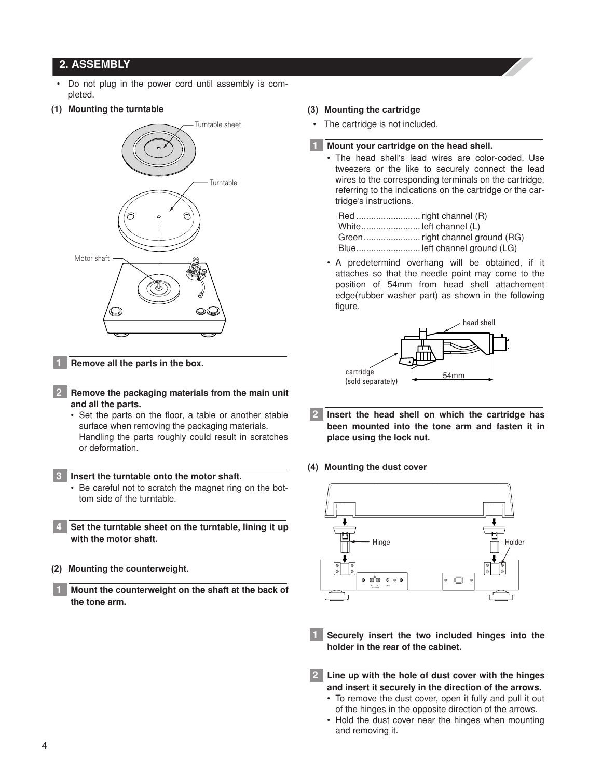#### **2. ASSEMBLY**

- Do not plug in the power cord until assembly is completed.
- **(1) Mounting the turntable**



**Remove all the parts in the box.**

- **Remove the packaging materials from the main unit and all the parts. 2**
	- Set the parts on the floor, a table or another stable surface when removing the packaging materials. Handling the parts roughly could result in scratches or deformation.

#### **Insert the turntable onto the motor shaft. 3**

- Be careful not to scratch the magnet ring on the bottom side of the turntable.
- **Set the turntable sheet on the turntable, lining it up with the motor shaft. 4**
- **(2) Mounting the counterweight.**
	- **Mount the counterweight on the shaft at the back of the tone arm.**

#### **(3) Mounting the cartridge**

The cartridge is not included.

#### **Mount your cartridge on the head shell. 1**

• The head shell's lead wires are color-coded. Use tweezers or the like to securely connect the lead wires to the corresponding terminals on the cartridge, referring to the indications on the cartridge or the cartridge's instructions.

| White left channel (L)        |
|-------------------------------|
|                               |
| Blue left channel ground (LG) |

• A predetermind overhang will be obtained, if it attaches so that the needle point may come to the position of 54mm from head shell attachement edge(rubber washer part) as shown in the following figure.



- **Insert the head shell on which the cartridge has been mounted into the tone arm and fasten it in place using the lock nut. 2**
- **(4) Mounting the dust cover**



- **Securely insert the two included hinges into the holder in the rear of the cabinet.**
- **Line up with the hole of dust cover with the hinges 2and insert it securely in the direction of the arrows.**
	- To remove the dust cover, open it fully and pull it out of the hinges in the opposite direction of the arrows.
	- Hold the dust cover near the hinges when mounting and removing it.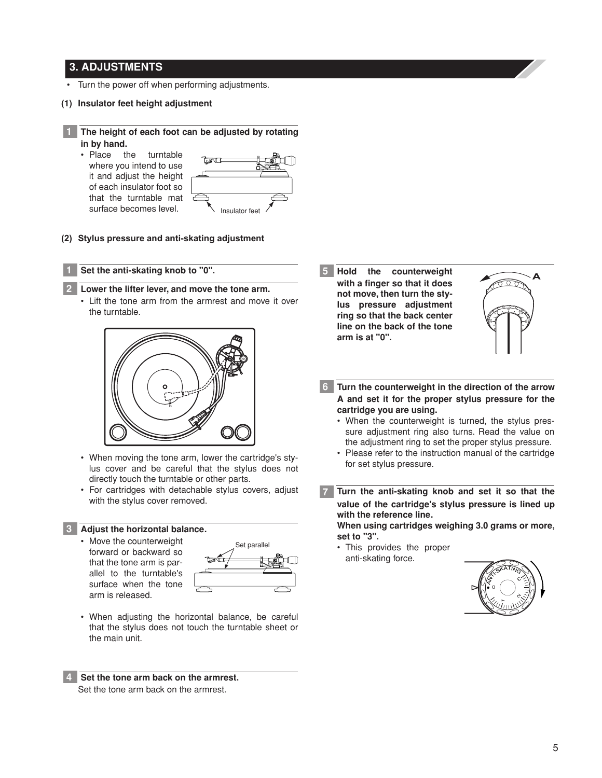#### **3. ADJUSTMENTS**

**1**

**1 2**

- Turn the power off when performing adjustments.
- **(1) Insulator feet height adjustment**

**The height of each foot can be adjusted by rotating in by hand.**

• Place the turntable where you intend to use it and adjust the height of each insulator foot so that the turntable mat surface becomes level.



**(2) Stylus pressure and anti-skating adjustment**

#### **Set the anti-skating knob to "0".**

#### **Lower the lifter lever, and move the tone arm.**

• Lift the tone arm from the armrest and move it over the turntable.



- When moving the tone arm, lower the cartridge's stylus cover and be careful that the stylus does not directly touch the turntable or other parts.
- For cartridges with detachable stylus covers, adjust with the stylus cover removed.

#### **Adjust the horizontal balance. 3**

• Move the counterweight forward or backward so that the tone arm is parallel to the turntable's surface when the tone arm is released.



• When adjusting the horizontal balance, be careful that the stylus does not touch the turntable sheet or the main unit.

**Set the tone arm back on the armrest. 4** Set the tone arm back on the armrest.

counterweight **with a finger so that it does not move, then turn the stylus pressure adjustment ring so that the back center line on the back of the tone arm is at "0". 5**



- **Turn the counterweight in the direction of the arrow 6 A and set it for the proper stylus pressure for the cartridge you are using.**
	- When the counterweight is turned, the stylus pressure adjustment ring also turns. Read the value on the adjustment ring to set the proper stylus pressure.
	- Please refer to the instruction manual of the cartridge for set stylus pressure.

**Turn the anti-skating knob and set it so that the value of the cartridge's stylus pressure is lined up with the reference line. When using cartridges weighing 3.0 grams or more, 7**

**set to "3".**

• This provides the proper anti-skating force.

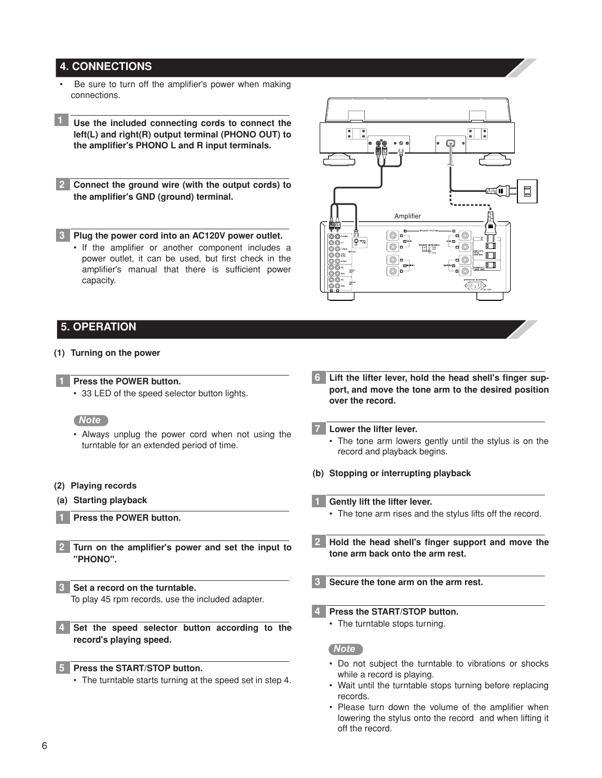#### **4. CONNECTIONS**

- Be sure to turn off the amplifier's power when making connections.
- **Use the included connecting cords to connect the 1 left(L) and right(R) output terminal (PHONO OUT) to the amplifier's PHONO L and R input terminals.**
- **Connect the ground wire (with the output cords) to 2 the amplifier's GND (ground) terminal.**

**Plug the power cord into an AC120V power outlet.**

• If the amplifier or another component includes a power outlet, it can be used, but first check in the amplifier's manual that there is sufficient power capacity.



#### **5. OPERATION**

**3**

#### **(1) Turning on the power**

#### **Press the POWER button.**

• 33 LED of the speed selector button lights.

*Note* 

- Always unplug the power cord when not using the turntable for an extended period of time.
- **(2) Playing records**
- **(a) Starting playback**
	- **Press the POWER button.**
- **Turn on the amplifier's power and set the input to "PHONO". 2**
- **Set a record on the turntable. 3**

To play 45 rpm records, use the included adapter.

**Set the speed selector button according to the 4 record's playing speed.**

**Press the START/STOP button.**

• The turntable starts turning at the speed set in step 4.

- **Lift the lifter lever, hold the head shell's finger support, and move the tone arm to the desired position over the record. 6**
- **Lower the lifter lever. 7**
	- The tone arm lowers gently until the stylus is on the record and playback begins.
- **(b) Stopping or interrupting playback**
- **Gently lift the lifter lever.**
	- The tone arm rises and the stylus lifts off the record.
- **Hold the head shell's finger support and move the tone arm back onto the arm rest. 2**
- **Secure the tone arm on the arm rest. 3**
- **Press the START/STOP button. 4**
	- The turntable stops turning.

#### *Note*

- Do not subject the turntable to vibrations or shocks while a record is playing.
- Wait until the turntable stops turning before replacing records.
- Please turn down the volume of the amplifier when lowering the stylus onto the record and when lifting it off the record.

**5**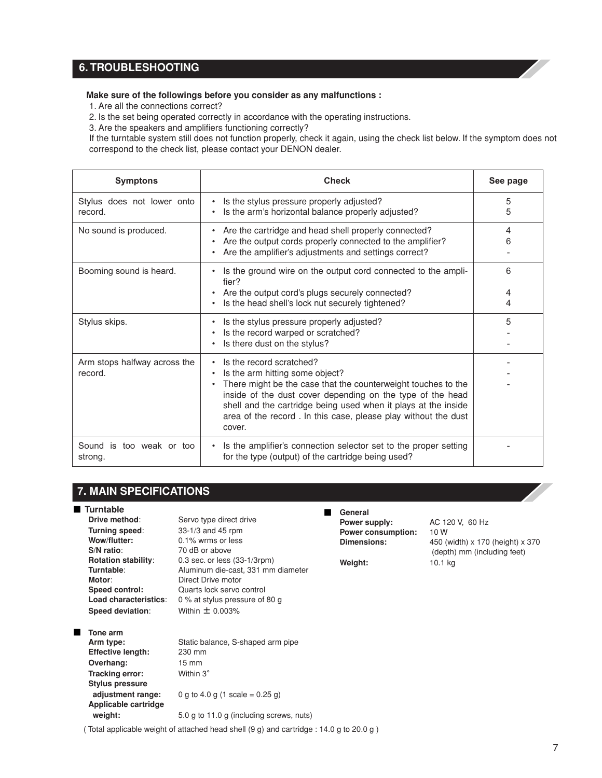### **6. TROUBLESHOOTING**

#### **Make sure of the followings before you consider as any malfunctions :**

1. Are all the connections correct?

2. Is the set being operated correctly in accordance with the operating instructions.

3. Are the speakers and amplifiers functioning correctly?

If the turntable system still does not function properly, check it again, using the check list below. If the symptom does not correspond to the check list, please contact your DENON dealer.

| <b>Symptons</b>                         | <b>Check</b>                                                                                                                                                                                                                                                                                                                                          | See page    |
|-----------------------------------------|-------------------------------------------------------------------------------------------------------------------------------------------------------------------------------------------------------------------------------------------------------------------------------------------------------------------------------------------------------|-------------|
| Stylus does not lower onto<br>record.   | • Is the stylus pressure properly adjusted?<br>Is the arm's horizontal balance properly adjusted?                                                                                                                                                                                                                                                     | 5<br>5      |
| No sound is produced.                   | Are the cartridge and head shell properly connected?<br>$\bullet$<br>Are the output cords properly connected to the amplifier?<br>Are the amplifier's adjustments and settings correct?                                                                                                                                                               | 4<br>6      |
| Booming sound is heard.                 | Is the ground wire on the output cord connected to the ampli-<br>fier?<br>Are the output cord's plugs securely connected?<br>Is the head shell's lock nut securely tightened?                                                                                                                                                                         | 6<br>4<br>4 |
| Stylus skips.                           | Is the stylus pressure properly adjusted?<br>Is the record warped or scratched?<br>Is there dust on the stylus?                                                                                                                                                                                                                                       | 5           |
| Arm stops halfway across the<br>record. | Is the record scratched?<br>$\bullet$<br>Is the arm hitting some object?<br>There might be the case that the counterweight touches to the<br>inside of the dust cover depending on the type of the head<br>shell and the cartridge being used when it plays at the inside<br>area of the record. In this case, please play without the dust<br>cover. |             |
| Sound is too weak or too<br>strong.     | Is the amplifier's connection selector set to the proper setting<br>$\bullet$<br>for the type (output) of the cartridge being used?                                                                                                                                                                                                                   |             |

**Overhang:** 15 mm **Tracking error:** Within 3°

**Stylus pressure**

**Applicable cartridge**

#### ■ **Turntable**<br>Drive method: Servo type direct drive **Turning speed:** 33-1/3 and 45 rpm<br>**Wow/flutter:** 0.1% wrms or less **Wow/flutter:** 0.1% wrms or less<br>S/N ratio: 70 dB or above **S/N ratio**: 70 dB or above **Rotation stability**: 0.3 sec. or less (33-1/3rpm) **Turntable:** Aluminum die-cast, 331 mm diameter **Motor:** Direct Drive motor<br> **Speed control:** Quarts lock servo **Speed control:** Quarts lock servo control<br> **Load characteristics:** 0 % at stylus pressure of 0 % at stylus pressure of 80 g **Speed deviation**: Within ± 0.003% ■ **Tone arm** Arm type: Static balance, S-shaped arm pipe **Effective length:** 230 mm **7. MAIN SPECIFICATIONS**

**adjustment range:**  $0 g to 4.0 g (1 scale = 0.25 g)$ 

**weight:** 5.0 g to 11.0 g (including screws, nuts)

#### ■ **General**

**Power supply:** AC 120 V, 60 Hz **Power consumption:** 10 W **Dimensions:** 450 (width) x 170 (height) x 370 (depth) mm (including feet) **Weight:** 10.1 kg

( Total applicable weight of attached head shell (9 g) and cartridge : 14.0 g to 20.0 g )